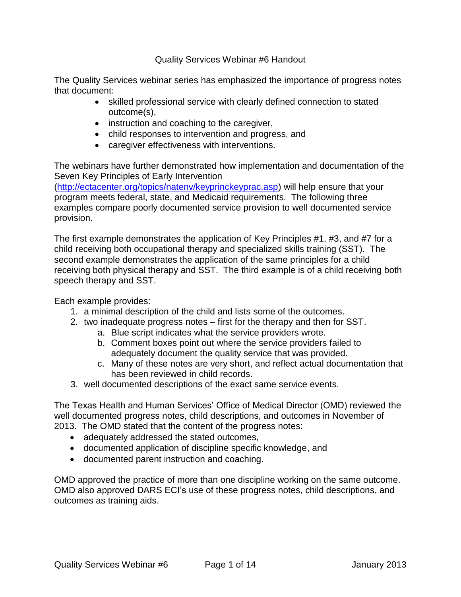Quality Services Webinar #6 Handout

The Quality Services webinar series has emphasized the importance of progress notes that document:

- skilled professional service with clearly defined connection to stated outcome(s),
- instruction and coaching to the caregiver,
- child responses to intervention and progress, and
- caregiver effectiveness with interventions.

The webinars have further demonstrated how implementation and documentation of the Seven Key Principles of Early Intervention

[\(http://ectacenter.org/topics/natenv/keyprinckeyprac.asp\)](http://ectacenter.org/topics/natenv/keyprinckeyprac.asp) will help ensure that your program meets federal, state, and Medicaid requirements. The following three examples compare poorly documented service provision to well documented service provision.

The first example demonstrates the application of Key Principles #1, #3, and #7 for a child receiving both occupational therapy and specialized skills training (SST). The second example demonstrates the application of the same principles for a child receiving both physical therapy and SST. The third example is of a child receiving both speech therapy and SST.

Each example provides:

- 1. a minimal description of the child and lists some of the outcomes.
- 2. two inadequate progress notes first for the therapy and then for SST.
	- a. Blue script indicates what the service providers wrote.
	- b. Comment boxes point out where the service providers failed to adequately document the quality service that was provided.
	- c. Many of these notes are very short, and reflect actual documentation that has been reviewed in child records.
- 3. well documented descriptions of the exact same service events.

The Texas Health and Human Services' Office of Medical Director (OMD) reviewed the well documented progress notes, child descriptions, and outcomes in November of 2013. The OMD stated that the content of the progress notes:

- adequately addressed the stated outcomes,
- documented application of discipline specific knowledge, and
- documented parent instruction and coaching.

OMD approved the practice of more than one discipline working on the same outcome. OMD also approved DARS ECI's use of these progress notes, child descriptions, and outcomes as training aids.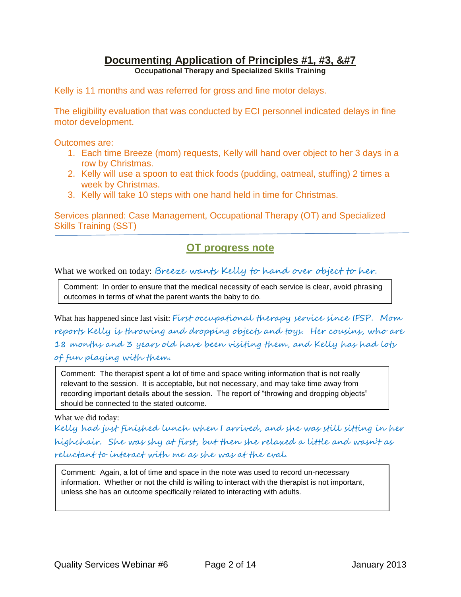### **Documenting Application of Principles #1, #3, &#7**

**Occupational Therapy and Specialized Skills Training**

Kelly is 11 months and was referred for gross and fine motor delays.

The eligibility evaluation that was conducted by ECI personnel indicated delays in fine motor development.

Outcomes are:

- 1. Each time Breeze (mom) requests, Kelly will hand over object to her 3 days in a row by Christmas.
- 2. Kelly will use a spoon to eat thick foods (pudding, oatmeal, stuffing) 2 times a week by Christmas.
- 3. Kelly will take 10 steps with one hand held in time for Christmas.

Services planned: Case Management, Occupational Therapy (OT) and Specialized Skills Training (SST)

## **OT progress note**

What we worked on today: Breeze wants Kelly to hand over object to her.

Comment: In order to ensure that the medical necessity of each service is clear, avoid phrasing outcomes in terms of what the parent wants the baby to do.

What has happened since last visit: First occupational therapy service since IFSP. Mom reports Kelly is throwing and dropping objects and toys. Her cousins, who are 18 months and 3 years old have been visiting them, and Kelly has had lots of fun playing with them.

Comment: The therapist spent a lot of time and space writing information that is not really relevant to the session. It is acceptable, but not necessary, and may take time away from recording important details about the session. The report of "throwing and dropping objects" should be connected to the stated outcome.

#### What we did today:

Kelly had just finished lunch when I arrived, and she was still sitting in her highchair. She was shy at first, but then she relaxed a little and wasn't as reluctant to interact with me as she was at the eval.

Comment: Again, a lot of time and space in the note was used to record un-necessary information. Whether or not the child is willing to interact with the therapist is not important, unless she has an outcome specifically related to interacting with adults.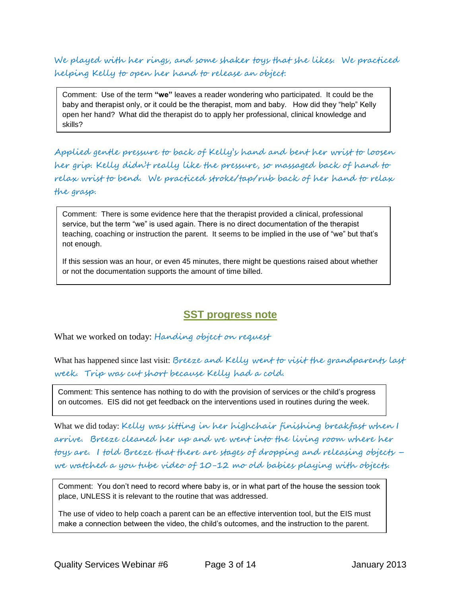We played with her rings, and some shaker toys that she likes. We practiced helping Kelly to open her hand to release an object.

Comment: Use of the term **"we"** leaves a reader wondering who participated. It could be the baby and therapist only, or it could be the therapist, mom and baby. How did they "help" Kelly open her hand? What did the therapist do to apply her professional, clinical knowledge and skills?

Applied gentle pressure to back of Kelly's hand and bent her wrist to loosen her grip. Kelly didn't really like the pressure, so massaged back of hand to relax wrist to bend. We practiced stroke/tap/rub back of her hand to relax the grasp.

Comment: There is some evidence here that the therapist provided a clinical, professional service, but the term "we" is used again. There is no direct documentation of the therapist teaching, coaching or instruction the parent. It seems to be implied in the use of "we" but that's not enough.

If this session was an hour, or even 45 minutes, there might be questions raised about whether or not the documentation supports the amount of time billed.

### **SST progress note**

What we worked on today: Handing object on request

What has happened since last visit: Breeze and Kelly went to visit the grandparents last week. Trip was cut short because Kelly had a cold.

Comment: This sentence has nothing to do with the provision of services or the child's progress on outcomes. EIS did not get feedback on the interventions used in routines during the week.

What we did today: Kelly was sitting in her highchair finishing breakfast when I arrive. Breeze cleaned her up and we went into the living room where her toys are. I told Breeze that there are stages of dropping and releasing objects – we watched a you tube video of 10-12 mo old babies playing with objects.

Comment: You don't need to record where baby is, or in what part of the house the session took place, UNLESS it is relevant to the routine that was addressed.

The use of video to help coach a parent can be an effective intervention tool, but the EIS must make a connection between the video, the child's outcomes, and the instruction to the parent.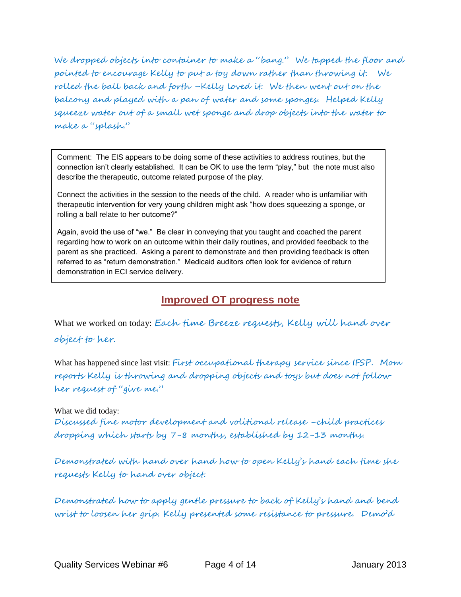We dropped objects into container to make a "bang." We tapped the floor and pointed to encourage Kelly to put a toy down rather than throwing it. We rolled the ball back and forth –Kelly loved it. We then went out on the balcony and played with a pan of water and some sponges. Helped Kelly squeeze water out of a small wet sponge and drop objects into the water to make a "splash."

Comment: The EIS appears to be doing some of these activities to address routines, but the connection isn't clearly established. It can be OK to use the term "play," but the note must also describe the therapeutic, outcome related purpose of the play.

Connect the activities in the session to the needs of the child. A reader who is unfamiliar with therapeutic intervention for very young children might ask "how does squeezing a sponge, or rolling a ball relate to her outcome?"

Again, avoid the use of "we." Be clear in conveying that you taught and coached the parent regarding how to work on an outcome within their daily routines, and provided feedback to the parent as she practiced. Asking a parent to demonstrate and then providing feedback is often referred to as "return demonstration." Medicaid auditors often look for evidence of return demonstration in ECI service delivery.

### **Improved OT progress note**

What we worked on today: Each time Breeze requests, Kelly will hand over

#### object to her.

What has happened since last visit: First occupational therapy service since IFSP. Mom reports Kelly is throwing and dropping objects and toys but does not follow her request of "give me."

#### What we did today:

Discussed fine motor development and volitional release –child practices dropping which starts by 7-8 months, established by 12-13 months.

Demonstrated with hand over hand how to open Kelly's hand each time she requests Kelly to hand over object.

Demonstrated how to apply gentle pressure to back of Kelly's hand and bend wrist to loosen her grip. Kelly presented some resistance to pressure. Demo'd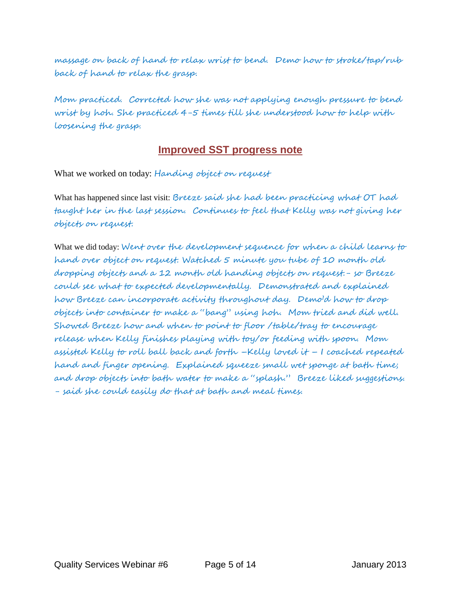massage on back of hand to relax wrist to bend. Demo how to stroke/tap/rub back of hand to relax the grasp.

Mom practiced. Corrected how she was not applying enough pressure to bend wrist by hoh. She practiced 4-5 times till she understood how to help with loosening the grasp.

#### **Improved SST progress note**

What we worked on today: Handing object on request

What has happened since last visit: Breeze said she had been practicing what OT had taught her in the last session. Continues to feel that Kelly was not giving her objects on request.

What we did today: Went over the development sequence for when a child learny to hand over object on request. Watched 5 minute you tube of 10 month old dropping objects and a 12 month old handing objects on request.- so Breeze could see what to expected developmentally. Demonstrated and explained how Breeze can incorporate activity throughout day. Demo'd how to drop objects into container to make a "bang" using hoh. Mom tried and did well. Showed Breeze how and when to point to floor /table/tray to encourage release when Kelly finishes playing with toy/or feeding with spoon. Mom assisted Kelly to roll ball back and forth –Kelly loved it – I coached repeated hand and finger opening. Explained squeeze small wet sponge at bath time; and drop objects into bath water to make a "splash." Breeze liked suggestions. - said she could easily do that at bath and meal times.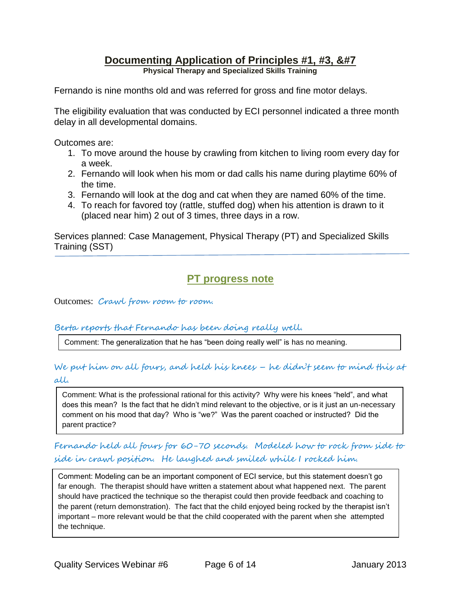## **Documenting Application of Principles #1, #3, &#7**

**Physical Therapy and Specialized Skills Training**

Fernando is nine months old and was referred for gross and fine motor delays.

The eligibility evaluation that was conducted by ECI personnel indicated a three month delay in all developmental domains.

Outcomes are:

- 1. To move around the house by crawling from kitchen to living room every day for a week.
- 2. Fernando will look when his mom or dad calls his name during playtime 60% of the time.
- 3. Fernando will look at the dog and cat when they are named 60% of the time.
- 4. To reach for favored toy (rattle, stuffed dog) when his attention is drawn to it (placed near him) 2 out of 3 times, three days in a row.

Services planned: Case Management, Physical Therapy (PT) and Specialized Skills Training (SST)

# **PT progress note**

Outcomes: Crawl from room to room.

#### Berta reports that Fernando has been doing really well.

Comment: The generalization that he has "been doing really well" is has no meaning.

#### We put him on all fours, and held his knees – he didn't seem to mind this at all.

Comment: What is the professional rational for this activity? Why were his knees "held", and what does this mean? Is the fact that he didn't mind relevant to the objective, or is it just an un-necessary comment on his mood that day? Who is "we?" Was the parent coached or instructed? Did the parent practice?

Fernando held all foury for 60-70 seconds. Modeled how to rock from side to side in crawl position. He laughed and smiled while I rocked him.

Comment: Modeling can be an important component of ECI service, but this statement doesn't go far enough. The therapist should have written a statement about what happened next. The parent should have practiced the technique so the therapist could then provide feedback and coaching to the parent (return demonstration). The fact that the child enjoyed being rocked by the therapist isn't important – more relevant would be that the child cooperated with the parent when she attempted the technique.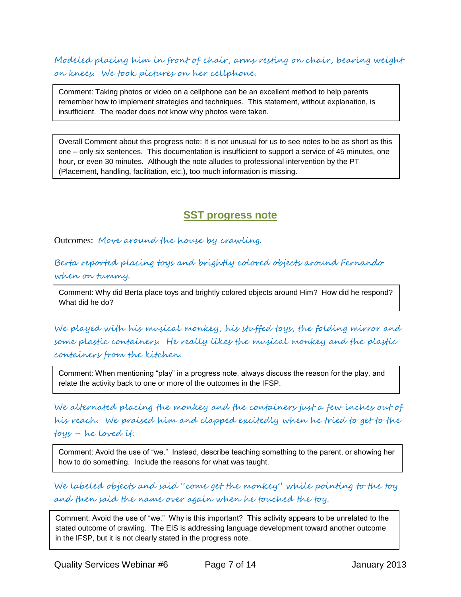Modeled placing him in front of chair, arms resting on chair, bearing weight on knees. We took pictures on her cellphone.

Comment: Taking photos or video on a cellphone can be an excellent method to help parents remember how to implement strategies and techniques. This statement, without explanation, is insufficient. The reader does not know why photos were taken.

Overall Comment about this progress note: It is not unusual for us to see notes to be as short as this one – only six sentences. This documentation is insufficient to support a service of 45 minutes, one hour, or even 30 minutes. Although the note alludes to professional intervention by the PT (Placement, handling, facilitation, etc.), too much information is missing.

## **SST progress note**

Outcomes: Move around the house by crawling.

Berta reported placing toys and brightly colored objects around Fernando when on tummy.

Comment: Why did Berta place toys and brightly colored objects around Him? How did he respond? What did he do?

We played with his musical monkey, his stuffed toys, the folding mirror and some plastic containers. He really likes the musical monkey and the plastic containers from the kitchen.

Comment: When mentioning "play" in a progress note, always discuss the reason for the play, and relate the activity back to one or more of the outcomes in the IFSP.

We alternated placing the monkey and the containers just a few inches out of his reach. We praised him and clapped excitedly when he tried to get to the toys – he loved it.

Comment: Avoid the use of "we." Instead, describe teaching something to the parent, or showing her how to do something. Include the reasons for what was taught.

We labeled objects and said "come get the monkey" while pointing to the toy and then said the name over again when he touched the toy.

Comment: Avoid the use of "we." Why is this important? This activity appears to be unrelated to the stated outcome of crawling. The EIS is addressing language development toward another outcome in the IFSP, but it is not clearly stated in the progress note.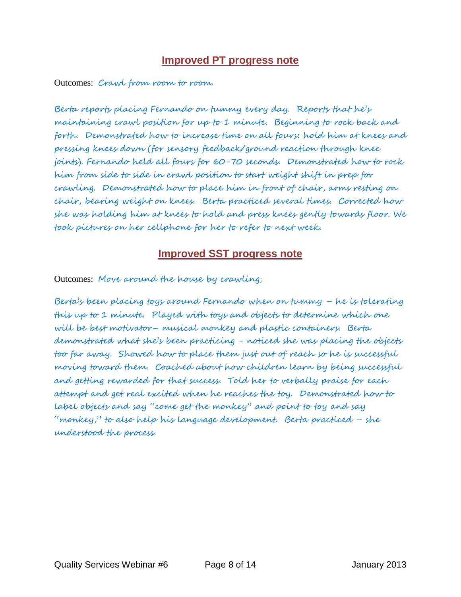### **Improved PT progress note**

Outcomes: Crawl from room to room.

Berta reports placing Fernando on tummy every day. Reports that he's maintaining crawl position for up to 1 minute. Beginning to rock back and forth. Demonstrated how to increase time on all fours: hold him at knees and pressing knees down (for sensory feedback/ground reaction through knee joints). Fernando held all fours for 60-70 seconds. Demonstrated how to rock him from side to side in crawl position to start weight shift in prep for crawling. Demonstrated how to place him in front of chair, arms resting on chair, bearing weight on knees. Berta practiced several times. Corrected how she was holding him at knees to hold and press knees gently towards floor. We took pictures on her cellphone for her to refer to next week.

## **Improved SST progress note**

Outcomes: Move around the house by crawling;

Berta's been placing toys around Fernando when on tummy – he is tolerating this up to 1 minute. Played with toys and objects to determine which one will be best motivator– musical monkey and plastic containers. Berta demonstrated what she's been practicing - noticed she was placing the objects too far away. Showed how to place them just out of reach so he is successful moving toward them. Coached about how children learn by being successful and getting rewarded for that success. Told her to verbally praise for each attempt and get real excited when he reaches the toy. Demonstrated how to label objects and say "come get the monkey" and point to toy and say "monkey," to also help his language development. Berta practiced – she understood the process.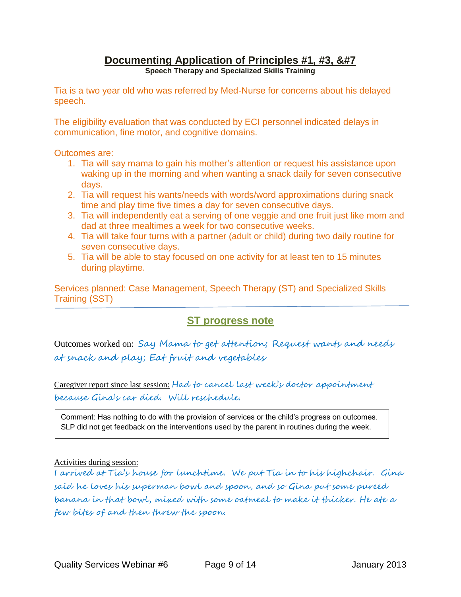# **Documenting Application of Principles #1, #3, &#7**

**Speech Therapy and Specialized Skills Training**

Tia is a two year old who was referred by Med-Nurse for concerns about his delayed speech.

The eligibility evaluation that was conducted by ECI personnel indicated delays in communication, fine motor, and cognitive domains.

Outcomes are:

- 1. Tia will say mama to gain his mother's attention or request his assistance upon waking up in the morning and when wanting a snack daily for seven consecutive days.
- 2. Tia will request his wants/needs with words/word approximations during snack time and play time five times a day for seven consecutive days.
- 3. Tia will independently eat a serving of one veggie and one fruit just like mom and dad at three mealtimes a week for two consecutive weeks.
- 4. Tia will take four turns with a partner (adult or child) during two daily routine for seven consecutive days.
- 5. Tia will be able to stay focused on one activity for at least ten to 15 minutes during playtime.

Services planned: Case Management, Speech Therapy (ST) and Specialized Skills Training (SST)

# **ST progress note**

Outcomes worked on: Say Mama to get attention; Request wants and needs at snack and play; Eat fruit and vegetables

Caregiver report since last session: Had to cancel last week's doctor appointment because Gina's car died. Will reschedule.

Comment: Has nothing to do with the provision of services or the child's progress on outcomes. SLP did not get feedback on the interventions used by the parent in routines during the week.

#### Activities during session:

I arrived at Tia's house for lunchtime. We put Tia in to his highchair. Gina said he loves his superman bowl and spoon, and so Gina put some pureed banana in that bowl, mixed with some oatmeal to make it thicker. He ate a few bites of and then threw the spoon.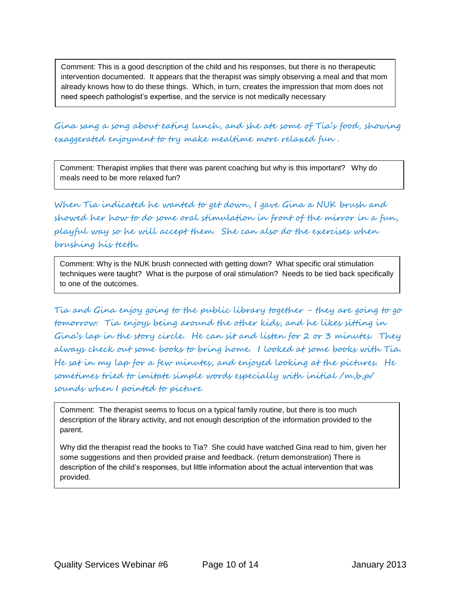Comment: This is a good description of the child and his responses, but there is no therapeutic intervention documented. It appears that the therapist was simply observing a meal and that mom already knows how to do these things. Which, in turn, creates the impression that mom does not need speech pathologist's expertise, and the service is not medically necessary

Gina sang a song about eating lunch, and she ate some of Tia's food, showing exaggerated enjoyment to try make mealtime more relaxed fun .

Comment: Therapist implies that there was parent coaching but why is this important? Why do meals need to be more relaxed fun?

When Tia indicated he wanted to get down, I gave Gina a NUK brush and showed her how to do some oral stimulation in front of the mirror in a fun, playful way so he will accept them. She can also do the exercises when brushing his teeth.

Comment: Why is the NUK brush connected with getting down? What specific oral stimulation techniques were taught? What is the purpose of oral stimulation? Needs to be tied back specifically to one of the outcomes.

Tia and Gina enjoy going to the public library together - they are going to go tomorrow. Tia enjoys being around the other kids, and he likes sitting in Gina's lap in the story circle. He can sit and listen for 2 or 3 minutes. They always check out some books to bring home. I looked at some books with Tia. He sat in my lap for a few minutes, and enjoyed looking at the pictures. He sometimes tried to imitate simple words especially with initial /m,b,p/ sounds when I pointed to picture

Comment: The therapist seems to focus on a typical family routine, but there is too much description of the library activity, and not enough description of the information provided to the parent.

Why did the therapist read the books to Tia? She could have watched Gina read to him, given her some suggestions and then provided praise and feedback. (return demonstration) There is description of the child's responses, but little information about the actual intervention that was provided.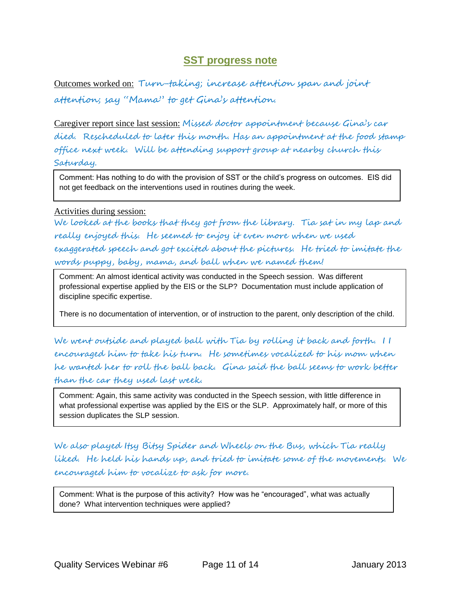#### **SST progress note**

Outcomes worked on: Turn-taking; increase attention span and joint attention; say "Mama" to get Gina's attention.

Caregiver report since last session: Missed doctor appointment because Gina's car died. Rescheduled to later this month. Has an appointment at the food stamp office next week. Will be attending support group at nearby church this Saturday.

Comment: Has nothing to do with the provision of SST or the child's progress on outcomes. EIS did not get feedback on the interventions used in routines during the week.

#### Activities during session:

We looked at the books that they got from the library. Tia sat in my lap and really enjoyed this. He seemed to enjoy it even more when we used exaggerated speech and got excited about the pictures. He tried to imitate the words puppy, baby, mama, and ball when we named them!

Comment: An almost identical activity was conducted in the Speech session. Was different professional expertise applied by the EIS or the SLP? Documentation must include application of discipline specific expertise.

There is no documentation of intervention, or of instruction to the parent, only description of the child.

We went outside and played ball with Tia by rolling it back and forth. I I encouraged him to take his turn. He sometimes vocalized to his mom when he wanted her to roll the ball back. Gina said the ball seems to work better than the car they used last week.

Comment: Again, this same activity was conducted in the Speech session, with little difference in what professional expertise was applied by the EIS or the SLP. Approximately half, or more of this session duplicates the SLP session.

We also played Itsy Bitsy Spider and Wheels on the Bus, which Tia really liked. He held his hands up, and tried to imitate some of the movements. We encouraged him to vocalize to ask for more.

Comment: What is the purpose of this activity? How was he "encouraged", what was actually done? What intervention techniques were applied?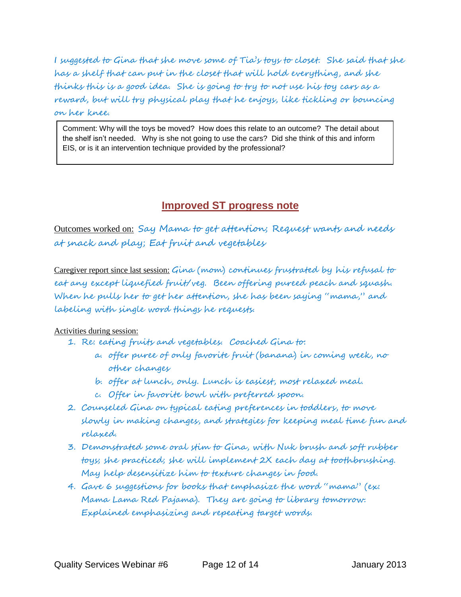I suggested to Gina that she move some of Tia's toys to closet. She said that she has a shelf that can put in the closet that will hold everything, and she thinks this is a good idea. She is going to try to not use his toy cars as a reward, but will try physical play that he enjoys, like tickling or bouncing on her knee.

Comment: Why will the toys be moved? How does this relate to an outcome? The detail about the shelf isn't needed. Why is she not going to use the cars? Did she think of this and inform EIS, or is it an intervention technique provided by the professional?

# **Improved ST progress note**

**Improved ST progress note**

Outcomes worked on: Say Mama to get attention; Request wants and needs at snack and play; Eat fruit and vegetables

Caregiver report since last session: Gina (mom) continues frustrated by his refusal to eat any except liquefied fruit/veg. Been offering pureed peach and squash. When he pulls her to get her attention, she has been saying "mama," and labeling with single word things he requests.

#### Activities during session:

- 1. Re: eating fruits and vegetables. Coached Gina to:
	- a. offer puree of only favorite fruit (banana) in coming week, no other changes
	- b. offer at lunch, only. Lunch is easiest, most relaxed meal.
	- c. Offer in favorite bowl with preferred spoon.
- 2. Counseled Gina on typical eating preferences in toddlers, to move slowly in making changes, and strategies for keeping meal time fun and relaxed.
- 3. Demonstrated some oral stim to Gina, with Nuk brush and soft rubber toys; she practiced; she will implement 2X each day at toothbrushing. May help desensitize him to texture changes in food.
- 4. Gave 6 suggestions for books that emphasize the word "mama" (ex: Mama Lama Red Pajama). They are going to library tomorrow. Explained emphasizing and repeating target words.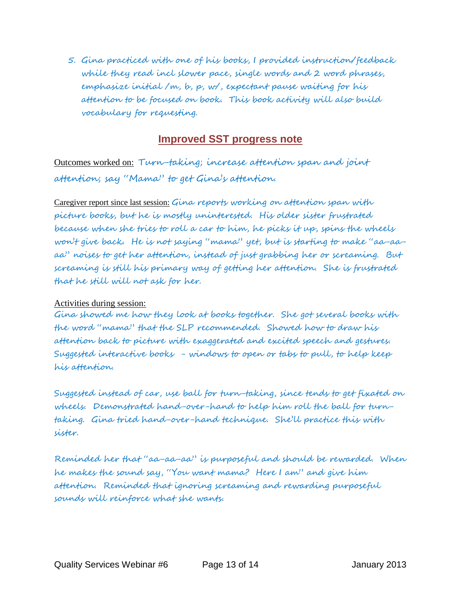5. Gina practiced with one of his books, I provided instruction/feedback while they read incl slower pace, single words and 2 word phrases, emphasize initial /m, b, p, w/, expectant pause waiting for his attention to be focused on book. This book activity will also build vocabulary for requesting.

### **Improved SST progress note**

Outcomes worked on: Turn-taking; increase attention span and joint attention; say "Mama" to get Gina's attention.

Caregiver report since last session: Gina reports working on affention span with picture books, but he is mostly uninterested. His older sister frustrated because when she tries to roll a car to him, he picks it up, spins the wheels won't give back. He is not saying "mama" yet, but is starting to make "aa-aaaa" noises to get her attention, instead of just grabbing her or screaming. But screaming is still his primary way of getting her attention. She is frustrated that he still will not ask for her.

#### Activities during session:

Gina showed me how they look at books together. She got several books with the word "mama" that the SLP recommended. Showed how to draw his attention back to picture with exaggerated and excited speech and gestures. Suggested interactive books - windows to open or tabs to pull, to help keep his attention.

Suggested instead of car, use ball for turn-taking, since tends to get fixated on wheels. Demonstrated hand-over-hand to help him roll the ball for turntaking. Gina tried hand-over-hand technique. She'll practice this with sister.

Reminded her that "aa-aa-aa" is purposeful and should be rewarded. When he makes the sound say, "You want mama? Here I am" and give him attention. Reminded that ignoring screaming and rewarding purposeful sounds will reinforce what she wants.